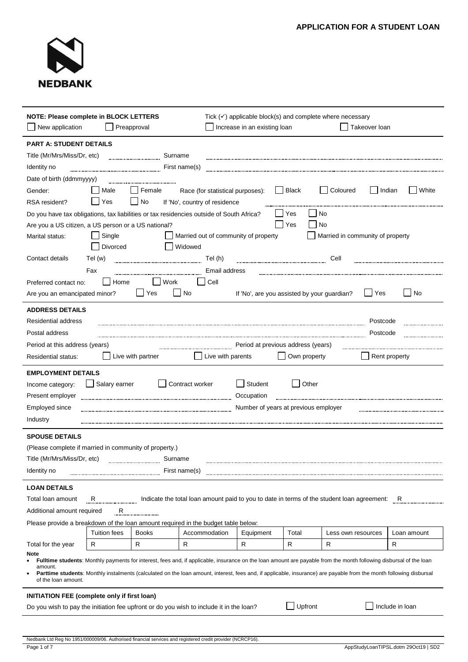

| NOTE: Please complete in BLOCK LETTERS                                                                                        |                               |                   | Tick $(\checkmark)$ applicable block(s) and complete where necessary |                                                               |              |                                                                                                                                                                                                                                                                                                                                           |                   |
|-------------------------------------------------------------------------------------------------------------------------------|-------------------------------|-------------------|----------------------------------------------------------------------|---------------------------------------------------------------|--------------|-------------------------------------------------------------------------------------------------------------------------------------------------------------------------------------------------------------------------------------------------------------------------------------------------------------------------------------------|-------------------|
| $\Box$ New application<br>$\Box$ Preapproval                                                                                  |                               |                   | Increase in an existing loan<br>Takeover loan                        |                                                               |              |                                                                                                                                                                                                                                                                                                                                           |                   |
| PART A: STUDENT DETAILS                                                                                                       |                               |                   |                                                                      |                                                               |              |                                                                                                                                                                                                                                                                                                                                           |                   |
| Title (Mr/Mrs/Miss/Dr, etc)                                                                                                   |                               | Surname           |                                                                      |                                                               |              |                                                                                                                                                                                                                                                                                                                                           |                   |
| Identity no                                                                                                                   |                               |                   | First name(s)                                                        |                                                               |              |                                                                                                                                                                                                                                                                                                                                           |                   |
| Date of birth (ddmmyyyy)                                                                                                      |                               |                   |                                                                      |                                                               |              |                                                                                                                                                                                                                                                                                                                                           |                   |
| Gender:                                                                                                                       | Male                          | Female            | Race (for statistical purposes):                                     |                                                               | Black        | Coloured                                                                                                                                                                                                                                                                                                                                  | White<br>Indian   |
| RSA resident?                                                                                                                 | Yes                           | No                | If 'No', country of residence                                        |                                                               |              |                                                                                                                                                                                                                                                                                                                                           |                   |
| Do you have tax obligations, tax liabilities or tax residencies outside of South Africa?                                      |                               |                   |                                                                      |                                                               | No<br>Yes    |                                                                                                                                                                                                                                                                                                                                           |                   |
| Are you a US citizen, a US person or a US national?                                                                           |                               |                   |                                                                      |                                                               | Yes<br>No    |                                                                                                                                                                                                                                                                                                                                           |                   |
| Marital status:                                                                                                               | Single<br>Divorced            |                   | Married out of community of property<br>Widowed                      |                                                               |              | Married in community of property                                                                                                                                                                                                                                                                                                          |                   |
| Contact details                                                                                                               | Tel (w)                       |                   | Tel (h)                                                              |                                                               |              | Cell                                                                                                                                                                                                                                                                                                                                      |                   |
|                                                                                                                               | Fax                           |                   | Email address                                                        |                                                               |              |                                                                                                                                                                                                                                                                                                                                           |                   |
| Preferred contact no:                                                                                                         | Home                          | Work              | Cell                                                                 |                                                               |              |                                                                                                                                                                                                                                                                                                                                           |                   |
| Are you an emancipated minor?                                                                                                 |                               | Yes               | $\overline{\phantom{a}}$ No                                          | If 'No', are you assisted by your guardian?                   |              | Yes<br>$\blacksquare$                                                                                                                                                                                                                                                                                                                     | $\blacksquare$ No |
| <b>ADDRESS DETAILS</b>                                                                                                        |                               |                   |                                                                      |                                                               |              |                                                                                                                                                                                                                                                                                                                                           |                   |
| <b>Residential address</b>                                                                                                    |                               |                   |                                                                      |                                                               |              | Postcode                                                                                                                                                                                                                                                                                                                                  |                   |
| Postal address                                                                                                                |                               |                   |                                                                      |                                                               |              | Postcode                                                                                                                                                                                                                                                                                                                                  |                   |
| Period at this address (years)                                                                                                |                               |                   |                                                                      | Period at previous address (years)                            |              |                                                                                                                                                                                                                                                                                                                                           |                   |
| <b>Residential status:</b>                                                                                                    |                               | Live with partner | Live with parents                                                    |                                                               | Own property |                                                                                                                                                                                                                                                                                                                                           | Rent property     |
|                                                                                                                               |                               |                   |                                                                      |                                                               |              |                                                                                                                                                                                                                                                                                                                                           |                   |
| <b>EMPLOYMENT DETAILS</b><br>Income category:<br>Present employer<br>Employed since                                           | Salary earner<br>$\mathbf{L}$ |                   | Contract worker                                                      | Student<br>Occupation<br>Number of years at previous employer | Other        |                                                                                                                                                                                                                                                                                                                                           |                   |
| Industry                                                                                                                      |                               |                   |                                                                      |                                                               |              |                                                                                                                                                                                                                                                                                                                                           |                   |
| <b>SPOUSE DETAILS</b><br>(Please complete if married in community of property.)<br>Title (Mr/Mrs/Miss/Dr, etc)<br>Identity no |                               | Surname<br>       | First name(s)                                                        |                                                               |              |                                                                                                                                                                                                                                                                                                                                           |                   |
| <b>LOAN DETAILS</b>                                                                                                           |                               |                   |                                                                      |                                                               |              |                                                                                                                                                                                                                                                                                                                                           |                   |
| Total loan amount                                                                                                             | R.                            |                   |                                                                      |                                                               |              | Indicate the total loan amount paid to you to date in terms of the student loan agreement:                                                                                                                                                                                                                                                | R                 |
| Additional amount required                                                                                                    | R                             |                   |                                                                      |                                                               |              |                                                                                                                                                                                                                                                                                                                                           |                   |
| Please provide a breakdown of the loan amount required in the budget table below:                                             |                               |                   |                                                                      |                                                               |              |                                                                                                                                                                                                                                                                                                                                           |                   |
|                                                                                                                               | <b>Tuition fees</b>           | <b>Books</b>      | Accommodation                                                        | Equipment                                                     | Total        | Less own resources                                                                                                                                                                                                                                                                                                                        | Loan amount       |
| Total for the year                                                                                                            | R                             | R                 | R                                                                    | R                                                             | R            | R                                                                                                                                                                                                                                                                                                                                         | R                 |
| Note<br>amount.<br>of the loan amount.                                                                                        |                               |                   |                                                                      |                                                               |              | Fulltime students: Monthly payments for interest, fees and, if applicable, insurance on the loan amount are payable from the month following disbursal of the loan<br>Parttime students: Monthly instalments (calculated on the loan amount, interest, fees and, if applicable, insurance) are payable from the month following disbursal |                   |

# Nedbank Ltd Reg No 1951/000009/06. Authorised financial services and registered credit provider (NCRCP16).<br>Page 1 of 7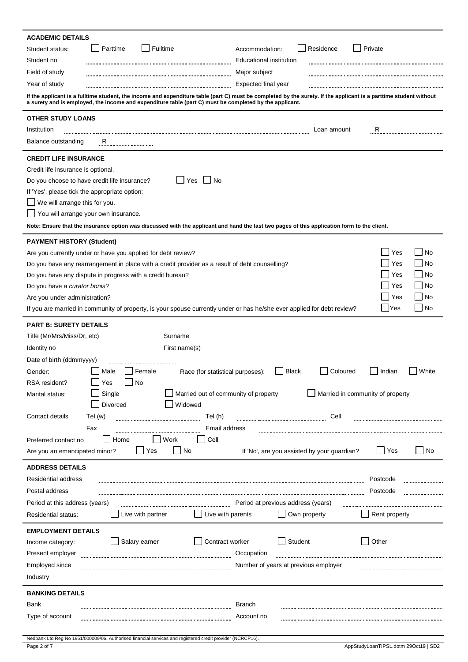| <b>ACADEMIC DETAILS</b>                                                                                                                                                                                                                                                      |                                                                 |
|------------------------------------------------------------------------------------------------------------------------------------------------------------------------------------------------------------------------------------------------------------------------------|-----------------------------------------------------------------|
| Parttime<br>Fulltime<br>Student status:                                                                                                                                                                                                                                      | Residence<br>Private<br>Accommodation:                          |
| Student no                                                                                                                                                                                                                                                                   | <b>Educational institution</b>                                  |
| Field of study                                                                                                                                                                                                                                                               | Major subject                                                   |
| Year of study                                                                                                                                                                                                                                                                | Expected final year                                             |
| If the applicant is a fulltime student, the income and expenditure table (part C) must be completed by the surety. If the applicant is a parttime student without<br>a surety and is employed, the income and expenditure table (part C) must be completed by the applicant. |                                                                 |
| <b>OTHER STUDY LOANS</b>                                                                                                                                                                                                                                                     |                                                                 |
| Institution                                                                                                                                                                                                                                                                  | Loan amount<br>R                                                |
| Balance outstanding<br><u></u>                                                                                                                                                                                                                                               |                                                                 |
| <b>CREDIT LIFE INSURANCE</b>                                                                                                                                                                                                                                                 |                                                                 |
| Credit life insurance is optional.                                                                                                                                                                                                                                           |                                                                 |
| Yes<br>∣ I No<br>Do you choose to have credit life insurance?                                                                                                                                                                                                                |                                                                 |
| If 'Yes', please tick the appropriate option:                                                                                                                                                                                                                                |                                                                 |
| We will arrange this for you.                                                                                                                                                                                                                                                |                                                                 |
| You will arrange your own insurance.                                                                                                                                                                                                                                         |                                                                 |
| Note: Ensure that the insurance option was discussed with the applicant and hand the last two pages of this application form to the client.                                                                                                                                  |                                                                 |
| <b>PAYMENT HISTORY (Student)</b>                                                                                                                                                                                                                                             |                                                                 |
| Are you currently under or have you applied for debt review?                                                                                                                                                                                                                 | No<br>Yes                                                       |
| Do you have any rearrangement in place with a credit provider as a result of debt counselling?                                                                                                                                                                               | No<br>Yes                                                       |
| Do you have any dispute in progress with a credit bureau?                                                                                                                                                                                                                    | No<br>Yes                                                       |
| Do you have a <i>curator bonis</i> ?                                                                                                                                                                                                                                         | No<br>Yes                                                       |
| Are you under administration?                                                                                                                                                                                                                                                | Yes<br>No                                                       |
| If you are married in community of property, is your spouse currently under or has he/she ever applied for debt review?                                                                                                                                                      | No<br>IYes                                                      |
| <b>PART B: SURETY DETAILS</b>                                                                                                                                                                                                                                                |                                                                 |
| Title (Mr/Mrs/Miss/Dr, etc)<br>Surname                                                                                                                                                                                                                                       |                                                                 |
| Identity no<br>First name(s)                                                                                                                                                                                                                                                 |                                                                 |
| Date of birth (ddmmyyyy)                                                                                                                                                                                                                                                     |                                                                 |
| Gender:<br>Male<br>Race (for statistical purposes):<br>Female                                                                                                                                                                                                                | <b>Black</b><br>Coloured<br>Indian<br>White                     |
| Yes<br>No<br>RSA resident?                                                                                                                                                                                                                                                   |                                                                 |
| Single<br>Married out of community of property<br>Marital status:<br>Divorced<br>Widowed                                                                                                                                                                                     | Married in community of property                                |
| Contact details<br>Tel(w)<br>Tel (h)                                                                                                                                                                                                                                         | Cell                                                            |
| Fax<br>Email address                                                                                                                                                                                                                                                         |                                                                 |
| Work<br>Cell<br>Preferred contact no<br>Home                                                                                                                                                                                                                                 |                                                                 |
| No<br>Are you an emancipated minor?<br>Yes                                                                                                                                                                                                                                   | $\Box$ No<br>If 'No', are you assisted by your guardian?<br>Yes |
| <b>ADDRESS DETAILS</b>                                                                                                                                                                                                                                                       |                                                                 |
| <b>Residential address</b>                                                                                                                                                                                                                                                   | Postcode                                                        |
| Postal address                                                                                                                                                                                                                                                               | Postcode                                                        |
| Period at this address (years)                                                                                                                                                                                                                                               | Period at previous address (years)                              |
| Live with partner<br>Live with parents<br>Residential status:                                                                                                                                                                                                                | Own property<br>Rent property                                   |
| <b>EMPLOYMENT DETAILS</b>                                                                                                                                                                                                                                                    |                                                                 |
| Salary earner<br>Contract worker<br>Income category:                                                                                                                                                                                                                         | Student<br>Other                                                |
| Present employer                                                                                                                                                                                                                                                             | Occupation                                                      |
| Employed since                                                                                                                                                                                                                                                               | Number of years at previous employer                            |
| Industry                                                                                                                                                                                                                                                                     |                                                                 |
| <b>BANKING DETAILS</b>                                                                                                                                                                                                                                                       |                                                                 |
| Bank                                                                                                                                                                                                                                                                         | <b>Branch</b>                                                   |
| Type of account                                                                                                                                                                                                                                                              |                                                                 |
|                                                                                                                                                                                                                                                                              | Account no                                                      |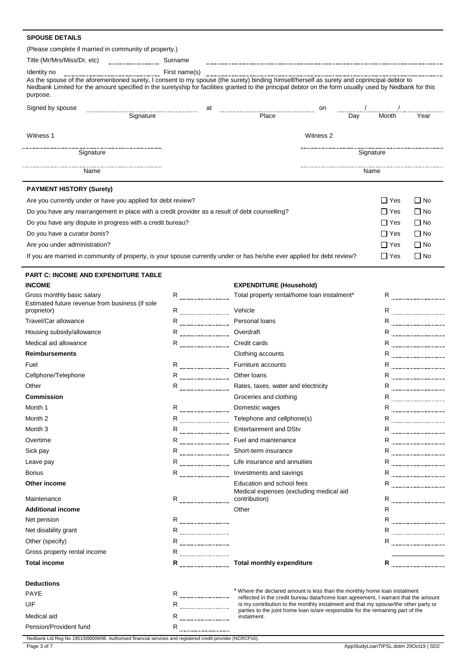# **SPOUSE DETAILS**

|                                                                                                                                                                                                                                                                                                                                  | (Please complete if married in community of property.) |             |           |           |            |           |
|----------------------------------------------------------------------------------------------------------------------------------------------------------------------------------------------------------------------------------------------------------------------------------------------------------------------------------|--------------------------------------------------------|-------------|-----------|-----------|------------|-----------|
| Title (Mr/Mrs/Miss/Dr, etc)                                                                                                                                                                                                                                                                                                      | Surname                                                |             |           |           |            |           |
| Identity no<br>As the spouse of the aforementioned surety, I consent to my spouse (the surety) binding himself/herself as surety and coprincipal debtor to<br>Nedbank Limited for the amount specified in the suretyship for facilities granted to the principal debtor on the form usually used by Nedbank for this<br>purpose. | First name(s)                                          |             |           |           |            |           |
| Signed by spouse                                                                                                                                                                                                                                                                                                                 | Signature                                              | at<br>Place | <b>on</b> | <br>Dav   | Month      | Year      |
| Witness 1                                                                                                                                                                                                                                                                                                                        |                                                        |             | Witness 2 |           |            |           |
| Signature                                                                                                                                                                                                                                                                                                                        |                                                        |             |           | Signature |            |           |
| Name                                                                                                                                                                                                                                                                                                                             |                                                        |             |           | Name      |            |           |
| <b>PAYMENT HISTORY (Surety)</b>                                                                                                                                                                                                                                                                                                  |                                                        |             |           |           |            |           |
| Are you currently under or have you applied for debt review?                                                                                                                                                                                                                                                                     |                                                        |             |           |           | ∏ Yes      | $\Box$ No |
| Do you have any rearrangement in place with a credit provider as a result of debt counselling?                                                                                                                                                                                                                                   |                                                        |             |           |           | $\Box$ Yes | $\Box$ No |
| Do you have any dispute in progress with a credit bureau?                                                                                                                                                                                                                                                                        |                                                        |             |           |           | $\Box$ Yes | $\Box$ No |
|                                                                                                                                                                                                                                                                                                                                  |                                                        |             |           |           | $\Box$ Yes | $\Box$ No |
|                                                                                                                                                                                                                                                                                                                                  |                                                        |             |           |           |            |           |
| Do you have a curator bonis?<br>Are you under administration?                                                                                                                                                                                                                                                                    |                                                        |             |           |           | $\Box$ Yes | $\Box$ No |

| <b>INCOME</b>                                                                 |                        | <b>EXPENDITURE (Household)</b>                                                                                                                                  |                        |
|-------------------------------------------------------------------------------|------------------------|-----------------------------------------------------------------------------------------------------------------------------------------------------------------|------------------------|
| Gross monthly basic salary<br>Estimated future revenue from business (if sole |                        | Total property rental/home loan instalment*                                                                                                                     | $\mathsf{R}_{\text{}}$ |
| proprietor)                                                                   |                        | Vehicle                                                                                                                                                         | $\mathsf{R}_{\text{}}$ |
| Travel/Car allowance                                                          |                        | Personal loans                                                                                                                                                  | $\mathsf{R}_{\text{}}$ |
| Housing subsidy/allowance                                                     |                        | Overdraft                                                                                                                                                       |                        |
| Medical aid allowance                                                         |                        | Credit cards                                                                                                                                                    | $\mathsf{R}_{\text{}}$ |
| <b>Reimbursements</b>                                                         |                        | Clothing accounts                                                                                                                                               |                        |
| Fuel                                                                          | $\mathsf{R}_{\text{}}$ | Furniture accounts                                                                                                                                              | $\mathsf{R}_{\text{}}$ |
| Cellphone/Telephone                                                           |                        | Other loans                                                                                                                                                     | $\mathsf{R}_{\text{}}$ |
| Other                                                                         |                        | Rates, taxes, water and electricity                                                                                                                             | $\mathsf{R}_{\text{}}$ |
| <b>Commission</b>                                                             |                        | Groceries and clothing                                                                                                                                          |                        |
| Month 1                                                                       | R                      | Domestic wages                                                                                                                                                  | $\mathsf{R}_{\text{}}$ |
| Month 2                                                                       |                        | Telephone and cellphone(s)                                                                                                                                      | $\mathsf{R}_{\text{}}$ |
| Month 3                                                                       | R                      | <b>Entertainment and DStv</b>                                                                                                                                   | $\mathsf{R}_{\text{}}$ |
| Overtime                                                                      |                        | Fuel and maintenance                                                                                                                                            |                        |
| Sick pay                                                                      |                        | Short-term insurance                                                                                                                                            | $\mathsf{R}_{\text{}}$ |
| Leave pay                                                                     | R                      | Life insurance and annuities                                                                                                                                    | $\mathsf{R}_{\text{}}$ |
| <b>Bonus</b>                                                                  |                        | Investments and savings                                                                                                                                         |                        |
| Other income                                                                  |                        | Education and school fees<br>Medical expenses (excluding medical aid                                                                                            |                        |
| Maintenance                                                                   | $\mathsf{R}_{\text{}}$ | contribution)                                                                                                                                                   |                        |
| <b>Additional income</b>                                                      |                        | Other                                                                                                                                                           | R.                     |
| Net pension                                                                   |                        |                                                                                                                                                                 |                        |
| Net disability grant                                                          | $\mathsf{R}_{\text{}}$ |                                                                                                                                                                 | $\mathsf{R}_{\text{}}$ |
| Other (specify)                                                               | $\mathsf{R}_{\text{}}$ |                                                                                                                                                                 | $\mathsf{R}_{\text{}}$ |
| Gross property rental income                                                  |                        |                                                                                                                                                                 |                        |
| <b>Total income</b>                                                           |                        | <b>Total monthly expenditure</b>                                                                                                                                | R                      |
| <b>Deductions</b>                                                             |                        |                                                                                                                                                                 |                        |
| <b>PAYE</b>                                                                   |                        | * Where the declared amount is less than the monthly home loan instalment<br>reflected in the credit bureau data/home loan agreement, I warrant that the amount |                        |
| UIF                                                                           |                        | is my contribution to the monthly instalment and that my spouse/the other party or                                                                              |                        |
| Medical aid                                                                   | $\mathsf{R}_{\text{}}$ | parties to the joint home loan is/are responsible for the remaining part of the<br>instalment.                                                                  |                        |

| Pension/Provident fund |                                                                                                            |  |  |  |
|------------------------|------------------------------------------------------------------------------------------------------------|--|--|--|
|                        |                                                                                                            |  |  |  |
|                        | Nedbank Ltd Req No 1951/000009/06. Authorised financial services and registered credit provider (NCRCP16). |  |  |  |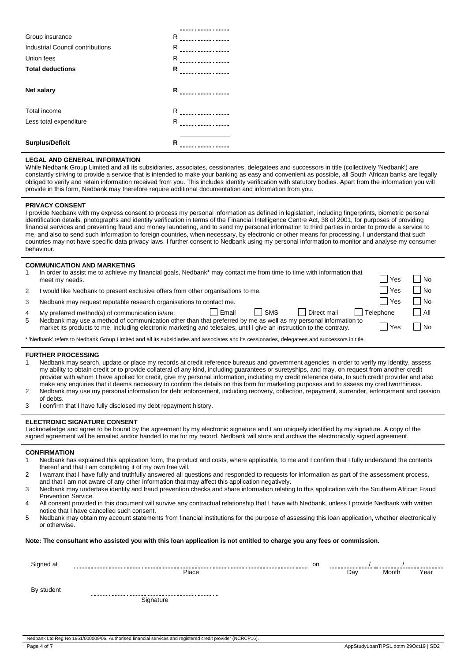| Group insurance                  | R<br> |
|----------------------------------|-------|
| Industrial Council contributions | R<br> |
| Union fees                       | R<br> |
| <b>Total deductions</b>          | R<br> |
| Net salary                       | R<br> |
| Total income                     | R<br> |
| Less total expenditure           | R<br> |
| Surplus/<br>/Deficit             | Ð<br> |

# **LEGAL AND GENERAL INFORMATION**

While Nedbank Group Limited and all its subsidiaries, associates, cessionaries, delegatees and successors in title (collectively 'Nedbank') are constantly striving to provide a service that is intended to make your banking as easy and convenient as possible, all South African banks are legally obliged to verify and retain information received from you. This includes identity verification with statutory bodies. Apart from the information you will provide in this form, Nedbank may therefore require additional documentation and information from you.

## **PRIVACY CONSENT**

| I provide Nedbank with my express consent to process my personal information as defined in legislation, including fingerprints, biometric personal     |
|--------------------------------------------------------------------------------------------------------------------------------------------------------|
| identification details, photographs and identity verification in terms of the Financial Intelligence Centre Act, 38 of 2001, for purposes of providing |
| financial services and preventing fraud and money laundering, and to send my personal information to third parties in order to provide a service to    |
| me, and also to send such information to foreign countries, when necessary, by electronic or other means for processing. I understand that such        |
| countries may not have specific data privacy laws. I further consent to Nedbank using my personal information to monitor and analyse my consumer       |
| behaviour.                                                                                                                                             |

# **COMMUNICATION AND MARKETING**

|   | In order to assist me to achieve my financial goals, Nedbank* may contact me from time to time with information that<br>meet my needs.                                                                                                   | l Yes     | l No                         |  |  |
|---|------------------------------------------------------------------------------------------------------------------------------------------------------------------------------------------------------------------------------------------|-----------|------------------------------|--|--|
| 2 | Yes<br>would like Nedbank to present exclusive offers from other organisations to me.                                                                                                                                                    |           |                              |  |  |
| 3 | Nedbank may request reputable research organisations to contact me.                                                                                                                                                                      | l Yes     | l No                         |  |  |
| 4 | $\Box$ SMS<br>l Email<br>Direct mail<br>My preferred method(s) of communication is/are:                                                                                                                                                  | Telephone | $\overline{\phantom{a}}$ All |  |  |
| 5 | Nedbank may use a method of communication other than that preferred by me as well as my personal information to<br>market its products to me, including electronic marketing and telesales, until I give an instruction to the contrary. | Yes       | l No                         |  |  |

\* 'Nedbank' refers to Nedbank Group Limited and all its subsidiaries and associates and its cessionaries, delegatees and successors in title.

#### **FURTHER PROCESSING**

- 1 Nedbank may search, update or place my records at credit reference bureaus and government agencies in order to verify my identity, assess my ability to obtain credit or to provide collateral of any kind, including guarantees or suretyships, and may, on request from another credit provider with whom I have applied for credit, give my personal information, including my credit reference data, to such credit provider and also make any enquiries that it deems necessary to confirm the details on this form for marketing purposes and to assess my creditworthiness.
- 2 Nedbank may use my personal information for debt enforcement, including recovery, collection, repayment, surrender, enforcement and cession of debts.
- 3 I confirm that I have fully disclosed my debt repayment history.

#### **ELECTRONIC SIGNATURE CONSENT**

I acknowledge and agree to be bound by the agreement by my electronic signature and I am uniquely identified by my signature. A copy of the signed agreement will be emailed and/or handed to me for my record. Nedbank will store and archive the electronically signed agreement.

# **CONFIRMATION**

- 1 Nedbank has explained this application form, the product and costs, where applicable, to me and I confirm that I fully understand the contents thereof and that I am completing it of my own free will.
- 2 I warrant that I have fully and truthfully answered all questions and responded to requests for information as part of the assessment process,
- and that I am not aware of any other information that may affect this application negatively. 3 Nedbank may undertake identity and fraud prevention checks and share information relating to this application with the Southern African Fraud Prevention Service.
- 4 All consent provided in this document will survive any contractual relationship that I have with Nedbank, unless I provide Nedbank with written notice that I have cancelled such consent.
- 5 Nedbank may obtain my account statements from financial institutions for the purpose of assessing this loan application, whether electronically or otherwise.

**Note: The consultant who assisted you with this loan application is not entitled to charge you any fees or commission.**

| Signed at  |           | on |     |       |      |
|------------|-----------|----|-----|-------|------|
|            | Place     |    | Day | Month | Year |
|            |           |    |     |       |      |
| By student | Signature |    |     |       |      |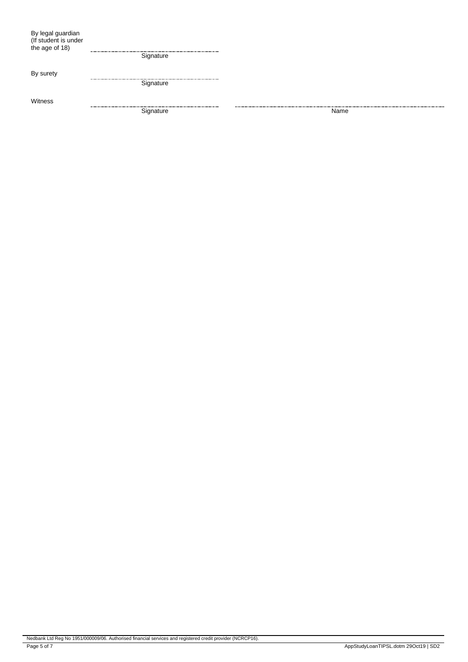| By legal guardian<br>(If student is under<br>the age of 18) | Signature |      |
|-------------------------------------------------------------|-----------|------|
| By surety                                                   | Signature |      |
| Witness                                                     |           | Name |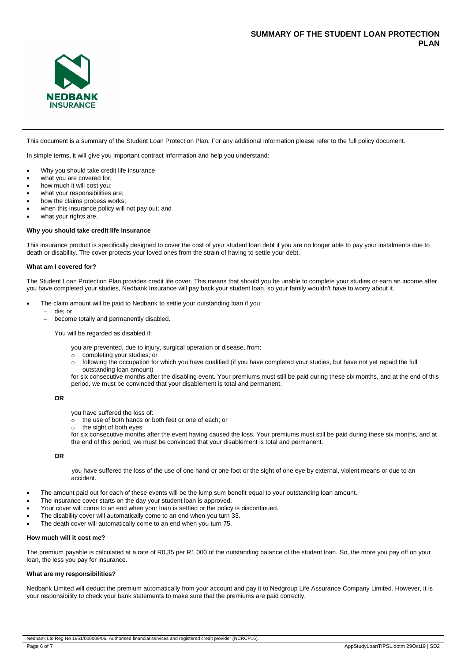

This document is a summary of the Student Loan Protection Plan. For any additional information please refer to the full policy document.

In simple terms, it will give you important contract information and help you understand:

- Why you should take credit life insurance
- what you are covered for;
- how much it will cost you;
- what your responsibilities are;
- how the claims process works;
- when this insurance policy will not pay out; and
- what your rights are.

#### **Why you should take credit life insurance**

This insurance product is specifically designed to cover the cost of your student loan debt if you are no longer able to pay your instalments due to death or disability. The cover protects your loved ones from the strain of having to settle your debt.

#### **What am I covered for?**

The Student Loan Protection Plan provides credit life cover. This means that should you be unable to complete your studies or earn an income after you have completed your studies, Nedbank Insurance will pay back your student loan, so your family wouldn't have to worry about it.

- The claim amount will be paid to Nedbank to settle your outstanding loan if you:
	- − die; or
		- − become totally and permanently disabled.

You will be regarded as disabled if:

you are prevented, due to injury, surgical operation or disease, from:

- o completing your studies; or
- $\circ$  following the occupation for which you have qualified (if you have completed your studies, but have not yet repaid the full outstanding loan amount)

for six consecutive months after the disabling event. Your premiums must still be paid during these six months, and at the end of this period, we must be convinced that your disablement is total and permanent.

#### **OR**

you have suffered the loss of:

 $\sim$  the use of both hands or both feet or one of each; or

the sight of both eyes

for six consecutive months after the event having caused the loss. Your premiums must still be paid during these six months, and at the end of this period, we must be convinced that your disablement is total and permanent.

**OR**

you have suffered the loss of the use of one hand or one foot or the sight of one eye by external, violent means or due to an accident.

- The amount paid out for each of these events will be the lump sum benefit equal to your outstanding loan amount.
- The insurance cover starts on the day your student loan is approved.
- Your cover will come to an end when your loan is settled or the policy is discontinued.
- The disability cover will automatically come to an end when you turn 33.
- The death cover will automatically come to an end when you turn 75.

#### **How much will it cost me?**

The premium payable is calculated at a rate of R0,35 per R1 000 of the outstanding balance of the student loan. So, the more you pay off on your loan, the less you pay for insurance.

#### **What are my responsibilities?**

Nedbank Limited will deduct the premium automatically from your account and pay it to Nedgroup Life Assurance Company Limited. However, it is your responsibility to check your bank statements to make sure that the premiums are paid correctly.